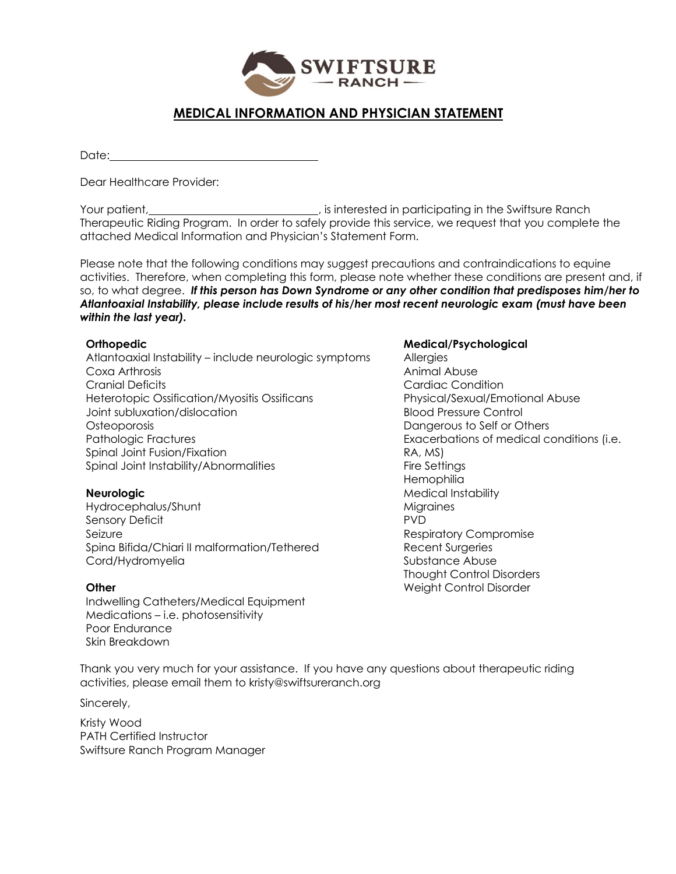

## **MEDICAL INFORMATION AND PHYSICIAN STATEMENT**

Date:

Dear Healthcare Provider:

Your patient, **interested in participating in the Swiftsure Ranch** (i.e., is interested in participating in the Swiftsure Ranch Therapeutic Riding Program. In order to safely provide this service, we request that you complete the attached Medical Information and Physician's Statement Form.

Please note that the following conditions may suggest precautions and contraindications to equine activities. Therefore, when completing this form, please note whether these conditions are present and, if so, to what degree. *If this person has Down Syndrome or any other condition that predisposes him/her to Atlantoaxial Instability, please include results of his/her most recent neurologic exam (must have been within the last year).*

### **Orthopedic**

Atlantoaxial Instability – include neurologic symptoms Coxa Arthrosis Cranial Deficits Heterotopic Ossification/Myositis Ossificans Joint subluxation/dislocation **Osteoporosis** Pathologic Fractures Spinal Joint Fusion/Fixation Spinal Joint Instability/Abnormalities

#### **Neurologic**

Hydrocephalus/Shunt Sensory Deficit Seizure Spina Bifida/Chiari II malformation/Tethered Cord/Hydromyelia

#### **Other**

Indwelling Catheters/Medical Equipment Medications – i.e. photosensitivity Poor Endurance Skin Breakdown

#### **Medical/Psychological**

Allergies Animal Abuse Cardiac Condition Physical/Sexual/Emotional Abuse Blood Pressure Control Dangerous to Self or Others Exacerbations of medical conditions (i.e. RA, MS) Fire Settings **Hemophilia** Medical Instability **Migraines** PVD Respiratory Compromise Recent Surgeries Substance Abuse Thought Control Disorders Weight Control Disorder

Thank you very much for your assistance. If you have any questions about therapeutic riding activities, please email them to kristy@swiftsureranch.org

Sincerely,

Kristy Wood PATH Certified Instructor Swiftsure Ranch Program Manager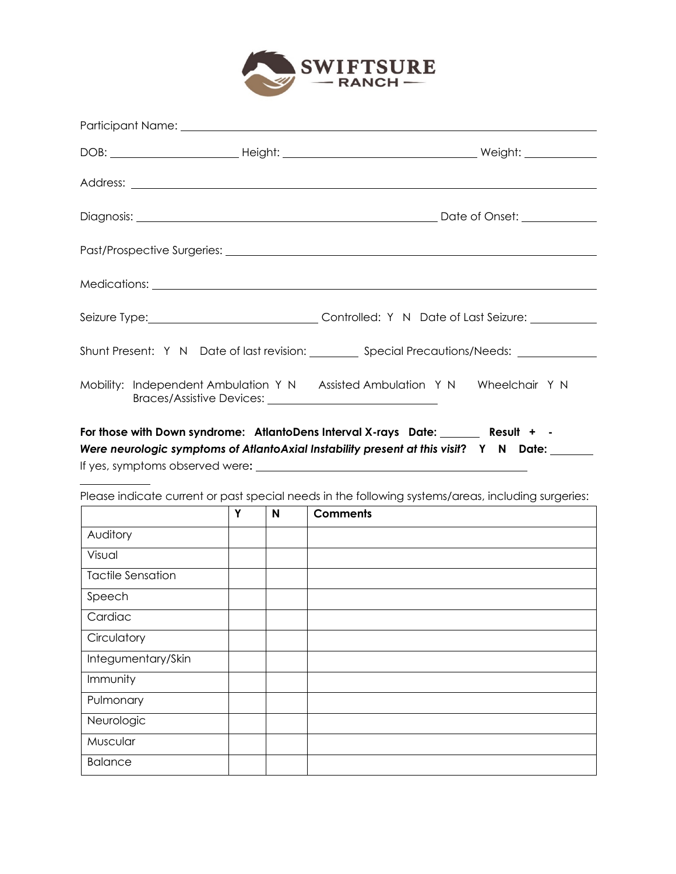

|  | Seizure Type: _________________________________Controlled: Y N Date of Last Seizure: ______________                                                                        |
|--|----------------------------------------------------------------------------------------------------------------------------------------------------------------------------|
|  | Shunt Present: Y N Date of last revision: __________ Special Precautions/Needs: _____________                                                                              |
|  | Mobility: Independent Ambulation Y N Assisted Ambulation Y N Wheelchair Y N                                                                                                |
|  | For those with Down syndrome: AtlantoDens Interval X-rays Date: Result + -<br>life to the second proposition of Atlanta Avial Includible proceed at this visit? V NL Data: |

*Were neurologic symptoms of AtlantoAxial Instability present at this visit*? Y N Date: \_\_\_\_\_\_ If yes, symptoms observed were**:**

Please indicate current or past special needs in the following systems/areas, including surgeries:

|                          | Y | N | <b>Comments</b> |
|--------------------------|---|---|-----------------|
| Auditory                 |   |   |                 |
| Visual                   |   |   |                 |
| <b>Tactile Sensation</b> |   |   |                 |
| Speech                   |   |   |                 |
| Cardiac                  |   |   |                 |
| Circulatory              |   |   |                 |
| Integumentary/Skin       |   |   |                 |
| Immunity                 |   |   |                 |
| Pulmonary                |   |   |                 |
| Neurologic               |   |   |                 |
| Muscular                 |   |   |                 |
| <b>Balance</b>           |   |   |                 |